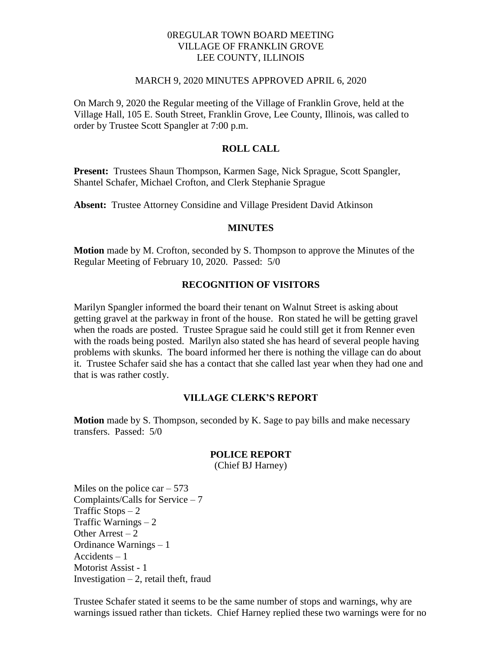### 0REGULAR TOWN BOARD MEETING VILLAGE OF FRANKLIN GROVE LEE COUNTY, ILLINOIS

#### MARCH 9, 2020 MINUTES APPROVED APRIL 6, 2020

On March 9, 2020 the Regular meeting of the Village of Franklin Grove, held at the Village Hall, 105 E. South Street, Franklin Grove, Lee County, Illinois, was called to order by Trustee Scott Spangler at 7:00 p.m.

### **ROLL CALL**

**Present:** Trustees Shaun Thompson, Karmen Sage, Nick Sprague, Scott Spangler, Shantel Schafer, Michael Crofton, and Clerk Stephanie Sprague

**Absent:** Trustee Attorney Considine and Village President David Atkinson

#### **MINUTES**

**Motion** made by M. Crofton, seconded by S. Thompson to approve the Minutes of the Regular Meeting of February 10, 2020. Passed: 5/0

#### **RECOGNITION OF VISITORS**

Marilyn Spangler informed the board their tenant on Walnut Street is asking about getting gravel at the parkway in front of the house. Ron stated he will be getting gravel when the roads are posted. Trustee Sprague said he could still get it from Renner even with the roads being posted. Marilyn also stated she has heard of several people having problems with skunks. The board informed her there is nothing the village can do about it. Trustee Schafer said she has a contact that she called last year when they had one and that is was rather costly.

### **VILLAGE CLERK'S REPORT**

**Motion** made by S. Thompson, seconded by K. Sage to pay bills and make necessary transfers. Passed: 5/0

#### **POLICE REPORT**

(Chief BJ Harney)

Miles on the police car  $-573$ Complaints/Calls for Service – 7 Traffic Stops  $-2$ Traffic Warnings – 2 Other Arrest  $-2$ Ordinance Warnings – 1 Accidents – 1 Motorist Assist - 1 Investigation  $-2$ , retail theft, fraud

Trustee Schafer stated it seems to be the same number of stops and warnings, why are warnings issued rather than tickets. Chief Harney replied these two warnings were for no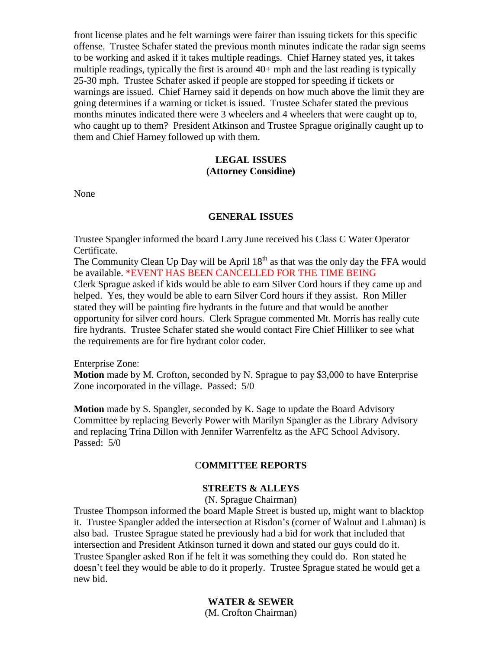front license plates and he felt warnings were fairer than issuing tickets for this specific offense. Trustee Schafer stated the previous month minutes indicate the radar sign seems to be working and asked if it takes multiple readings. Chief Harney stated yes, it takes multiple readings, typically the first is around 40+ mph and the last reading is typically 25-30 mph. Trustee Schafer asked if people are stopped for speeding if tickets or warnings are issued. Chief Harney said it depends on how much above the limit they are going determines if a warning or ticket is issued. Trustee Schafer stated the previous months minutes indicated there were 3 wheelers and 4 wheelers that were caught up to, who caught up to them? President Atkinson and Trustee Sprague originally caught up to them and Chief Harney followed up with them.

# **LEGAL ISSUES (Attorney Considine)**

None

#### **GENERAL ISSUES**

Trustee Spangler informed the board Larry June received his Class C Water Operator Certificate.

The Community Clean Up Day will be April  $18<sup>th</sup>$  as that was the only day the FFA would be available. \*EVENT HAS BEEN CANCELLED FOR THE TIME BEING Clerk Sprague asked if kids would be able to earn Silver Cord hours if they came up and helped. Yes, they would be able to earn Silver Cord hours if they assist. Ron Miller stated they will be painting fire hydrants in the future and that would be another opportunity for silver cord hours. Clerk Sprague commented Mt. Morris has really cute fire hydrants. Trustee Schafer stated she would contact Fire Chief Hilliker to see what the requirements are for fire hydrant color coder.

Enterprise Zone:

**Motion** made by M. Crofton, seconded by N. Sprague to pay \$3,000 to have Enterprise Zone incorporated in the village. Passed: 5/0

**Motion** made by S. Spangler, seconded by K. Sage to update the Board Advisory Committee by replacing Beverly Power with Marilyn Spangler as the Library Advisory and replacing Trina Dillon with Jennifer Warrenfeltz as the AFC School Advisory. Passed: 5/0

### C**OMMITTEE REPORTS**

## **STREETS & ALLEYS**

(N. Sprague Chairman)

Trustee Thompson informed the board Maple Street is busted up, might want to blacktop it. Trustee Spangler added the intersection at Risdon's (corner of Walnut and Lahman) is also bad. Trustee Sprague stated he previously had a bid for work that included that intersection and President Atkinson turned it down and stated our guys could do it. Trustee Spangler asked Ron if he felt it was something they could do. Ron stated he doesn't feel they would be able to do it properly. Trustee Sprague stated he would get a new bid.

> **WATER & SEWER** (M. Crofton Chairman)